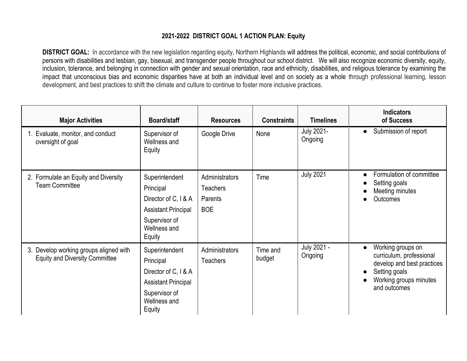## **2021-2022 DISTRICT GOAL 1 ACTION PLAN: Equity**

**DISTRICT GOAL:** In accordance with the new legislation regarding equity, Northern Highlands will address the political, economic, and social contributions of persons with disabilities and lesbian, gay, bisexual, and transgender people throughout our school district. We will also recognize economic diversity, equity, inclusion, tolerance, and belonging in connection with gender and sexual orientation, race and ethnicity, disabilities, and religious tolerance by examining the impact that unconscious bias and economic disparities have at both an individual level and on society as a whole through professional learning, lesson development, and best practices to shift the climate and culture to continue to foster more inclusive practices.

| <b>Major Activities</b>                                                         | <b>Board/staff</b>                                                                                                           | <b>Resources</b>                                           | <b>Constraints</b> | <b>Timelines</b>             | <b>Indicators</b><br>of Success                                                                                                                     |
|---------------------------------------------------------------------------------|------------------------------------------------------------------------------------------------------------------------------|------------------------------------------------------------|--------------------|------------------------------|-----------------------------------------------------------------------------------------------------------------------------------------------------|
| Evaluate, monitor, and conduct<br>oversight of goal                             | Supervisor of<br>Wellness and<br>Equity                                                                                      | Google Drive                                               | None               | <b>July 2021-</b><br>Ongoing | Submission of report<br>$\bullet$                                                                                                                   |
| 2. Formulate an Equity and Diversity<br><b>Team Committee</b>                   | Superintendent<br>Principal<br>Director of C, I & A<br><b>Assistant Principal</b><br>Supervisor of<br>Wellness and<br>Equity | Administrators<br><b>Teachers</b><br>Parents<br><b>BOE</b> | Time               | <b>July 2021</b>             | Formulation of committee<br>Setting goals<br>Meeting minutes<br>Outcomes                                                                            |
| 3. Develop working groups aligned with<br><b>Equity and Diversity Committee</b> | Superintendent<br>Principal<br>Director of C, I & A<br><b>Assistant Principal</b><br>Supervisor of<br>Wellness and<br>Equity | Administrators<br><b>Teachers</b>                          | Time and<br>budget | July 2021 -<br>Ongoing       | Working groups on<br>$\bullet$<br>curriculum, professional<br>develop and best practices<br>Setting goals<br>Working groups minutes<br>and outcomes |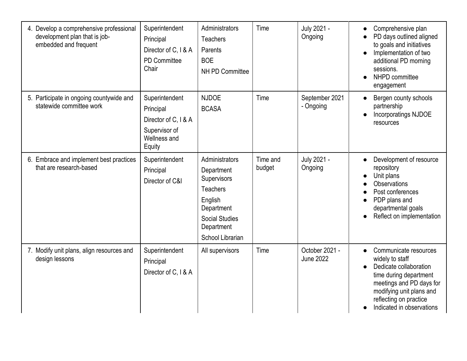| 4. Develop a comprehensive professional<br>development plan that is job-<br>embedded and frequent | Superintendent<br>Principal<br>Director of C, I & A<br>PD Committee<br>Chair                   | Administrators<br>Teachers<br>Parents<br><b>BOE</b><br><b>NH PD Committee</b>                                                                      | Time               | July 2021 -<br>Ongoing             | Comprehensive plan<br>$\bullet$<br>PD days outlined aligned<br>to goals and initiatives<br>Implementation of two<br>additional PD morning<br>sessions.<br>NHPD committee<br>engagement                                   |
|---------------------------------------------------------------------------------------------------|------------------------------------------------------------------------------------------------|----------------------------------------------------------------------------------------------------------------------------------------------------|--------------------|------------------------------------|--------------------------------------------------------------------------------------------------------------------------------------------------------------------------------------------------------------------------|
| 5. Participate in ongoing countywide and<br>statewide committee work                              | Superintendent<br>Principal<br>Director of C, I & A<br>Supervisor of<br>Wellness and<br>Equity | <b>NJDOE</b><br><b>BCASA</b>                                                                                                                       | Time               | September 2021<br>- Ongoing        | Bergen county schools<br>$\bullet$<br>partnership<br>Incorporatings NJDOE<br>resources                                                                                                                                   |
| 6. Embrace and implement best practices<br>that are research-based                                | Superintendent<br>Principal<br>Director of C&I                                                 | Administrators<br>Department<br>Supervisors<br><b>Teachers</b><br>English<br>Department<br><b>Social Studies</b><br>Department<br>School Librarian | Time and<br>budget | July 2021 -<br>Ongoing             | Development of resource<br>$\bullet$<br>repository<br>Unit plans<br><b>Observations</b><br>Post conferences<br>PDP plans and<br>$\bullet$<br>departmental goals<br>Reflect on implementation                             |
| 7. Modify unit plans, align resources and<br>design lessons                                       | Superintendent<br>Principal<br>Director of C, I & A                                            | All supervisors                                                                                                                                    | Time               | October 2021 -<br><b>June 2022</b> | Communicate resources<br>$\bullet$<br>widely to staff<br>Dedicate collaboration<br>time during department<br>meetings and PD days for<br>modifying unit plans and<br>reflecting on practice<br>Indicated in observations |